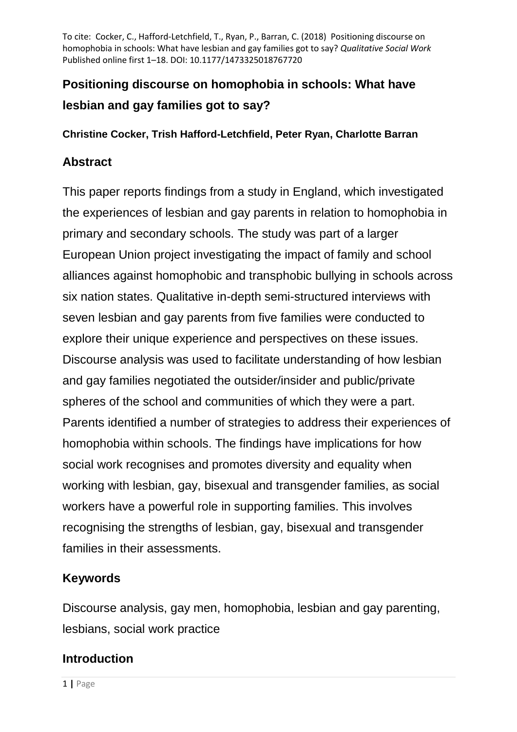# **Positioning discourse on homophobia in schools: What have lesbian and gay families got to say?**

**Christine Cocker, Trish Hafford-Letchfield, Peter Ryan, Charlotte Barran**

# **Abstract**

This paper reports findings from a study in England, which investigated the experiences of lesbian and gay parents in relation to homophobia in primary and secondary schools. The study was part of a larger European Union project investigating the impact of family and school alliances against homophobic and transphobic bullying in schools across six nation states. Qualitative in-depth semi-structured interviews with seven lesbian and gay parents from five families were conducted to explore their unique experience and perspectives on these issues. Discourse analysis was used to facilitate understanding of how lesbian and gay families negotiated the outsider/insider and public/private spheres of the school and communities of which they were a part. Parents identified a number of strategies to address their experiences of homophobia within schools. The findings have implications for how social work recognises and promotes diversity and equality when working with lesbian, gay, bisexual and transgender families, as social workers have a powerful role in supporting families. This involves recognising the strengths of lesbian, gay, bisexual and transgender families in their assessments.

# **Keywords**

Discourse analysis, gay men, homophobia, lesbian and gay parenting, lesbians, social work practice

## **Introduction**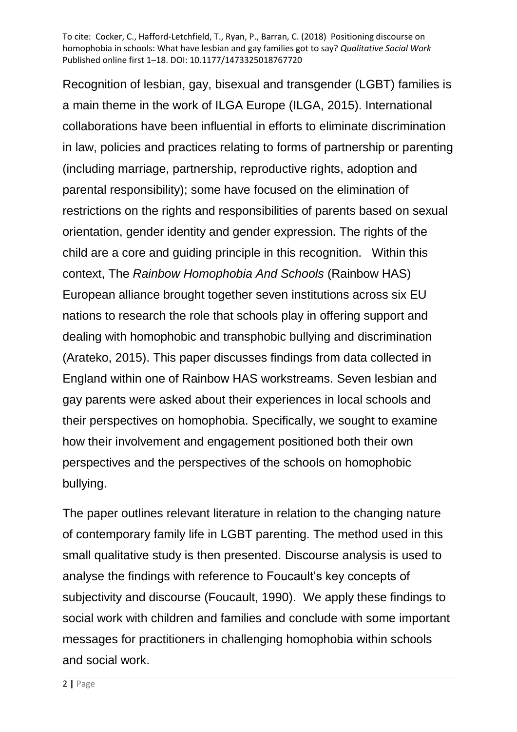Recognition of lesbian, gay, bisexual and transgender (LGBT) families is a main theme in the work of ILGA Europe (ILGA, 2015). International collaborations have been influential in efforts to eliminate discrimination in law, policies and practices relating to forms of partnership or parenting (including marriage, partnership, reproductive rights, adoption and parental responsibility); some have focused on the elimination of restrictions on the rights and responsibilities of parents based on sexual orientation, gender identity and gender expression. The rights of the child are a core and guiding principle in this recognition. Within this context, The *Rainbow Homophobia And Schools* (Rainbow HAS) European alliance brought together seven institutions across six EU nations to research the role that schools play in offering support and dealing with homophobic and transphobic bullying and discrimination (Arateko, 2015). This paper discusses findings from data collected in England within one of Rainbow HAS workstreams. Seven lesbian and gay parents were asked about their experiences in local schools and their perspectives on homophobia. Specifically, we sought to examine how their involvement and engagement positioned both their own perspectives and the perspectives of the schools on homophobic bullying.

The paper outlines relevant literature in relation to the changing nature of contemporary family life in LGBT parenting. The method used in this small qualitative study is then presented. Discourse analysis is used to analyse the findings with reference to Foucault's key concepts of subjectivity and discourse (Foucault, 1990). We apply these findings to social work with children and families and conclude with some important messages for practitioners in challenging homophobia within schools and social work.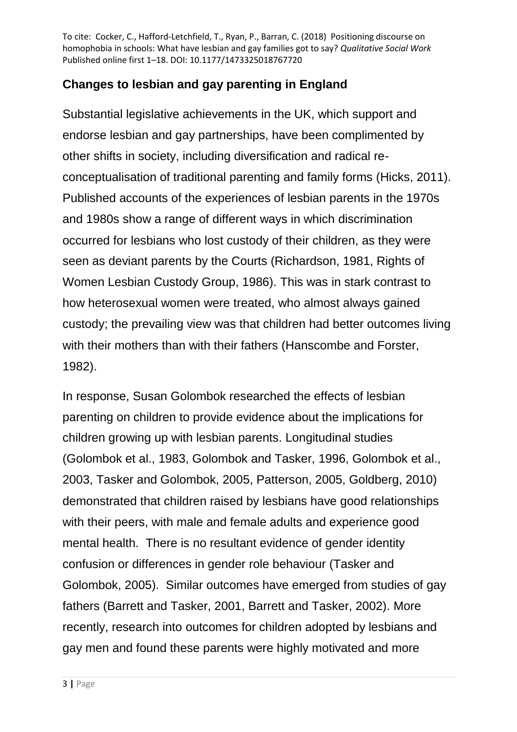# **Changes to lesbian and gay parenting in England**

Substantial legislative achievements in the UK, which support and endorse lesbian and gay partnerships, have been complimented by other shifts in society, including diversification and radical reconceptualisation of traditional parenting and family forms (Hicks, 2011). Published accounts of the experiences of lesbian parents in the 1970s and 1980s show a range of different ways in which discrimination occurred for lesbians who lost custody of their children, as they were seen as deviant parents by the Courts (Richardson, 1981, Rights of Women Lesbian Custody Group, 1986). This was in stark contrast to how heterosexual women were treated, who almost always gained custody; the prevailing view was that children had better outcomes living with their mothers than with their fathers (Hanscombe and Forster, 1982).

In response, Susan Golombok researched the effects of lesbian parenting on children to provide evidence about the implications for children growing up with lesbian parents. Longitudinal studies (Golombok et al., 1983, Golombok and Tasker, 1996, Golombok et al., 2003, Tasker and Golombok, 2005, Patterson, 2005, Goldberg, 2010) demonstrated that children raised by lesbians have good relationships with their peers, with male and female adults and experience good mental health. There is no resultant evidence of gender identity confusion or differences in gender role behaviour (Tasker and Golombok, 2005). Similar outcomes have emerged from studies of gay fathers (Barrett and Tasker, 2001, Barrett and Tasker, 2002). More recently, research into outcomes for children adopted by lesbians and gay men and found these parents were highly motivated and more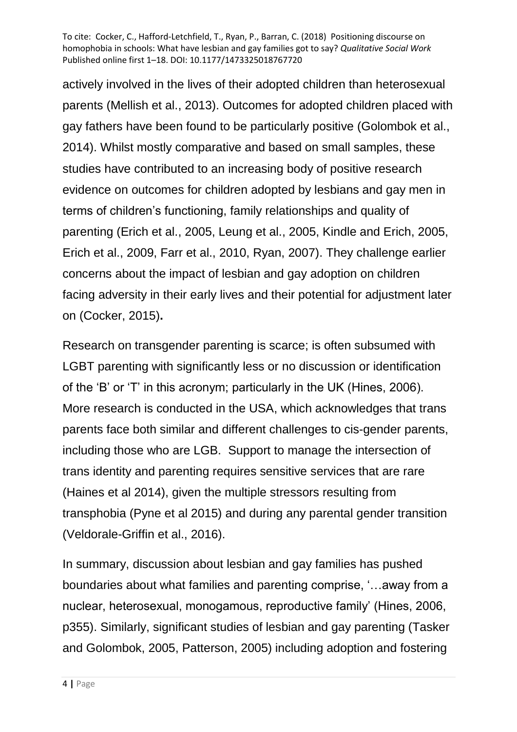actively involved in the lives of their adopted children than heterosexual parents (Mellish et al., 2013). Outcomes for adopted children placed with gay fathers have been found to be particularly positive (Golombok et al., 2014). Whilst mostly comparative and based on small samples, these studies have contributed to an increasing body of positive research evidence on outcomes for children adopted by lesbians and gay men in terms of children's functioning, family relationships and quality of parenting (Erich et al., 2005, Leung et al., 2005, Kindle and Erich, 2005, Erich et al., 2009, Farr et al., 2010, Ryan, 2007). They challenge earlier concerns about the impact of lesbian and gay adoption on children facing adversity in their early lives and their potential for adjustment later on (Cocker, 2015)**.** 

Research on transgender parenting is scarce; is often subsumed with LGBT parenting with significantly less or no discussion or identification of the 'B' or 'T' in this acronym; particularly in the UK (Hines, 2006). More research is conducted in the USA, which acknowledges that trans parents face both similar and different challenges to cis-gender parents, including those who are LGB. Support to manage the intersection of trans identity and parenting requires sensitive services that are rare (Haines et al 2014), given the multiple stressors resulting from transphobia (Pyne et al 2015) and during any parental gender transition (Veldorale-Griffin et al., 2016).

In summary, discussion about lesbian and gay families has pushed boundaries about what families and parenting comprise, '…away from a nuclear, heterosexual, monogamous, reproductive family' (Hines, 2006, p355). Similarly, significant studies of lesbian and gay parenting (Tasker and Golombok, 2005, Patterson, 2005) including adoption and fostering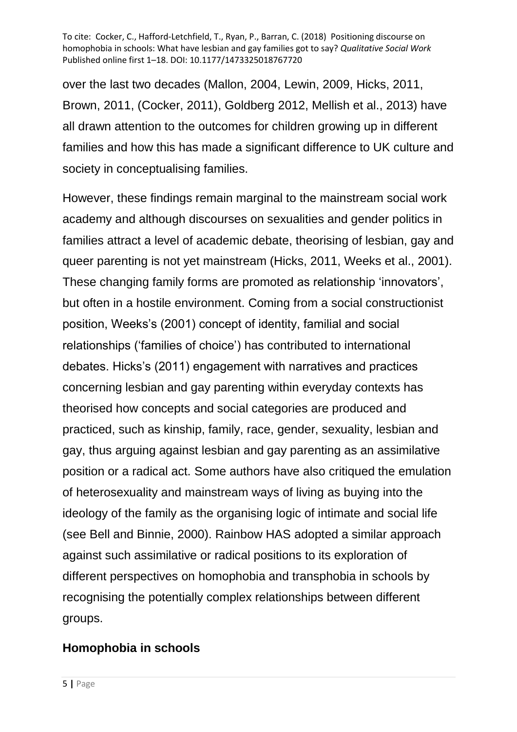over the last two decades (Mallon, 2004, Lewin, 2009, Hicks, 2011, Brown, 2011, (Cocker, 2011), Goldberg 2012, Mellish et al., 2013) have all drawn attention to the outcomes for children growing up in different families and how this has made a significant difference to UK culture and society in conceptualising families.

However, these findings remain marginal to the mainstream social work academy and although discourses on sexualities and gender politics in families attract a level of academic debate, theorising of lesbian, gay and queer parenting is not yet mainstream (Hicks, 2011, Weeks et al., 2001). These changing family forms are promoted as relationship 'innovators', but often in a hostile environment. Coming from a social constructionist position, Weeks's (2001) concept of identity, familial and social relationships ('families of choice') has contributed to international debates. Hicks's (2011) engagement with narratives and practices concerning lesbian and gay parenting within everyday contexts has theorised how concepts and social categories are produced and practiced, such as kinship, family, race, gender, sexuality, lesbian and gay, thus arguing against lesbian and gay parenting as an assimilative position or a radical act. Some authors have also critiqued the emulation of heterosexuality and mainstream ways of living as buying into the ideology of the family as the organising logic of intimate and social life (see Bell and Binnie, 2000). Rainbow HAS adopted a similar approach against such assimilative or radical positions to its exploration of different perspectives on homophobia and transphobia in schools by recognising the potentially complex relationships between different groups.

#### **Homophobia in schools**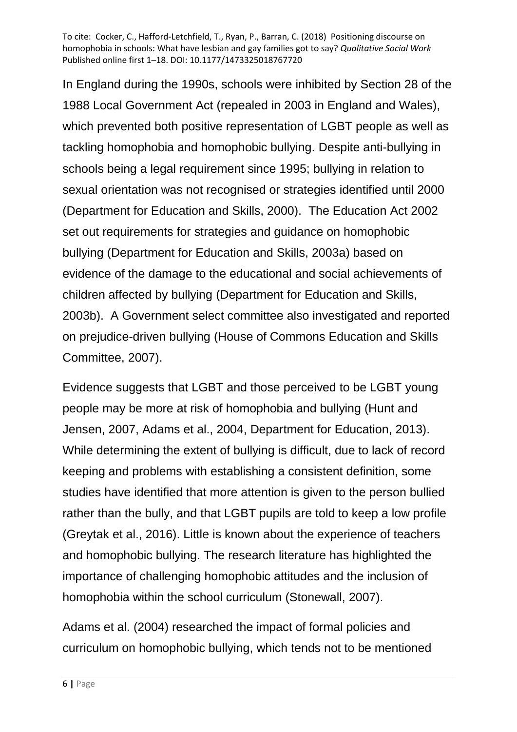In England during the 1990s, schools were inhibited by Section 28 of the 1988 Local Government Act (repealed in 2003 in England and Wales), which prevented both positive representation of LGBT people as well as tackling homophobia and homophobic bullying. Despite anti-bullying in schools being a legal requirement since 1995; bullying in relation to sexual orientation was not recognised or strategies identified until 2000 (Department for Education and Skills, 2000). The Education Act 2002 set out requirements for strategies and guidance on homophobic bullying (Department for Education and Skills, 2003a) based on evidence of the damage to the educational and social achievements of children affected by bullying (Department for Education and Skills, 2003b). A Government select committee also investigated and reported on prejudice-driven bullying (House of Commons Education and Skills Committee, 2007).

Evidence suggests that LGBT and those perceived to be LGBT young people may be more at risk of homophobia and bullying (Hunt and Jensen, 2007, Adams et al., 2004, Department for Education, 2013). While determining the extent of bullying is difficult, due to lack of record keeping and problems with establishing a consistent definition, some studies have identified that more attention is given to the person bullied rather than the bully, and that LGBT pupils are told to keep a low profile (Greytak et al., 2016). Little is known about the experience of teachers and homophobic bullying. The research literature has highlighted the importance of challenging homophobic attitudes and the inclusion of homophobia within the school curriculum (Stonewall, 2007).

Adams et al. (2004) researched the impact of formal policies and curriculum on homophobic bullying, which tends not to be mentioned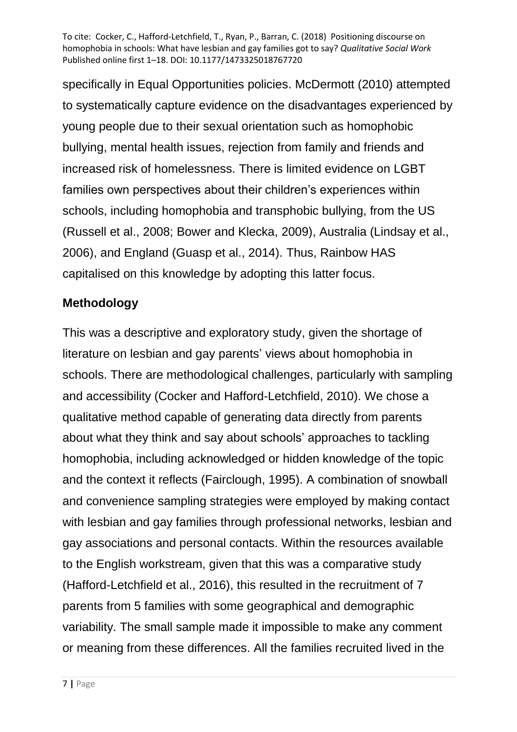specifically in Equal Opportunities policies. McDermott (2010) attempted to systematically capture evidence on the disadvantages experienced by young people due to their sexual orientation such as homophobic bullying, mental health issues, rejection from family and friends and increased risk of homelessness. There is limited evidence on LGBT families own perspectives about their children's experiences within schools, including homophobia and transphobic bullying, from the US (Russell et al., 2008; Bower and Klecka, 2009), Australia (Lindsay et al., 2006), and England (Guasp et al., 2014). Thus, Rainbow HAS capitalised on this knowledge by adopting this latter focus.

# **Methodology**

This was a descriptive and exploratory study, given the shortage of literature on lesbian and gay parents' views about homophobia in schools. There are methodological challenges, particularly with sampling and accessibility (Cocker and Hafford-Letchfield, 2010). We chose a qualitative method capable of generating data directly from parents about what they think and say about schools' approaches to tackling homophobia, including acknowledged or hidden knowledge of the topic and the context it reflects (Fairclough, 1995). A combination of snowball and convenience sampling strategies were employed by making contact with lesbian and gay families through professional networks, lesbian and gay associations and personal contacts. Within the resources available to the English workstream, given that this was a comparative study (Hafford-Letchfield et al., 2016), this resulted in the recruitment of 7 parents from 5 families with some geographical and demographic variability. The small sample made it impossible to make any comment or meaning from these differences. All the families recruited lived in the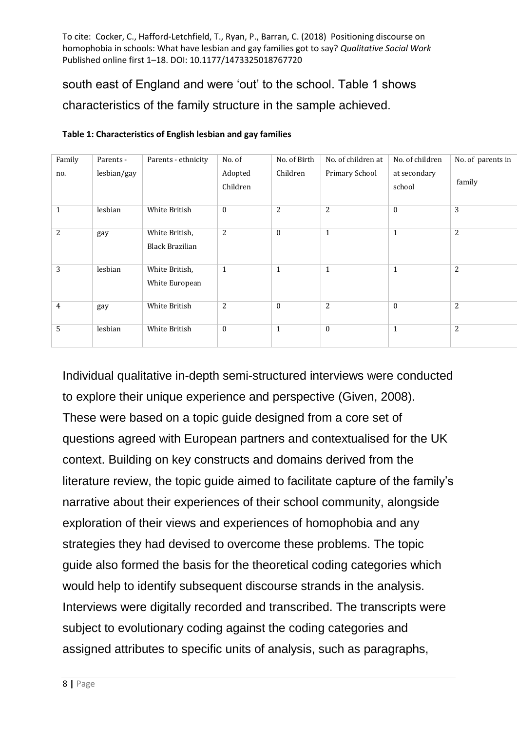south east of England and were 'out' to the school. Table 1 shows characteristics of the family structure in the sample achieved.

| Family         | Parents -   | Parents - ethnicity                      | No. of              | No. of Birth     | No. of children at | No. of children        | No. of parents in |
|----------------|-------------|------------------------------------------|---------------------|------------------|--------------------|------------------------|-------------------|
| no.            | lesbian/gay |                                          | Adopted<br>Children | Children         | Primary School     | at secondary<br>school | family            |
| $\mathbf{1}$   | lesbian     | White British                            | $\bf{0}$            | 2                | 2                  | $\boldsymbol{0}$       | $\overline{3}$    |
| 2              | gay         | White British,<br><b>Black Brazilian</b> | $\overline{2}$      | $\boldsymbol{0}$ | $\mathbf{1}$       | $\mathbf{1}$           | $\overline{2}$    |
| 3              | lesbian     | White British,<br>White European         | $\mathbf{1}$        | $\mathbf{1}$     | $\mathbf{1}$       | $\mathbf{1}$           | $\mathbf{2}$      |
| $\overline{4}$ | gay         | White British                            | $\overline{2}$      | $\boldsymbol{0}$ | $\overline{2}$     | $\boldsymbol{0}$       | $\overline{2}$    |
| 5 <sup>5</sup> | lesbian     | White British                            | $\bf{0}$            | $\mathbf{1}$     | $\boldsymbol{0}$   | $1\,$                  | $\overline{2}$    |
|                |             |                                          |                     |                  |                    |                        |                   |

#### **Table 1: Characteristics of English lesbian and gay families**

Individual qualitative in-depth semi-structured interviews were conducted to explore their unique experience and perspective (Given, 2008). These were based on a topic guide designed from a core set of questions agreed with European partners and contextualised for the UK context. Building on key constructs and domains derived from the literature review, the topic guide aimed to facilitate capture of the family's narrative about their experiences of their school community, alongside exploration of their views and experiences of homophobia and any strategies they had devised to overcome these problems. The topic guide also formed the basis for the theoretical coding categories which would help to identify subsequent discourse strands in the analysis. Interviews were digitally recorded and transcribed. The transcripts were subject to evolutionary coding against the coding categories and assigned attributes to specific units of analysis, such as paragraphs,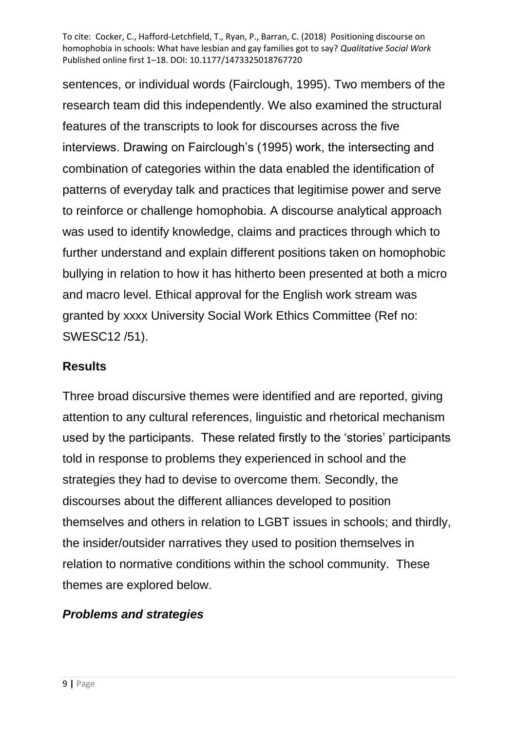sentences, or individual words (Fairclough, 1995). Two members of the research team did this independently. We also examined the structural features of the transcripts to look for discourses across the five interviews. Drawing on Fairclough's (1995) work, the intersecting and combination of categories within the data enabled the identification of patterns of everyday talk and practices that legitimise power and serve to reinforce or challenge homophobia. A discourse analytical approach was used to identify knowledge, claims and practices through which to further understand and explain different positions taken on homophobic bullying in relation to how it has hitherto been presented at both a micro and macro level. Ethical approval for the English work stream was granted by xxxx University Social Work Ethics Committee (Ref no: SWESC12 /51).

### **Results**

Three broad discursive themes were identified and are reported, giving attention to any cultural references, linguistic and rhetorical mechanism used by the participants. These related firstly to the 'stories' participants told in response to problems they experienced in school and the strategies they had to devise to overcome them. Secondly, the discourses about the different alliances developed to position themselves and others in relation to LGBT issues in schools; and thirdly, the insider/outsider narratives they used to position themselves in relation to normative conditions within the school community. These themes are explored below.

#### *Problems and strategies*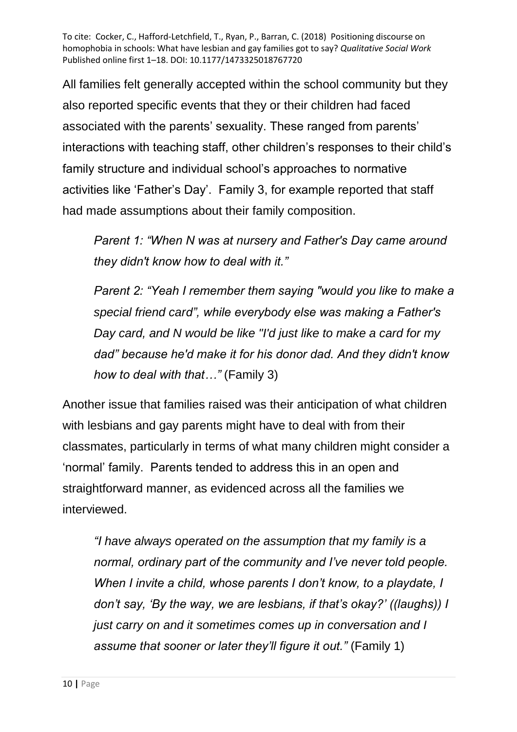All families felt generally accepted within the school community but they also reported specific events that they or their children had faced associated with the parents' sexuality. These ranged from parents' interactions with teaching staff, other children's responses to their child's family structure and individual school's approaches to normative activities like 'Father's Day'. Family 3, for example reported that staff had made assumptions about their family composition.

*Parent 1: "When N was at nursery and Father's Day came around they didn't know how to deal with it."*

*Parent 2: "Yeah I remember them saying "would you like to make a special friend card", while everybody else was making a Father's Day card, and N would be like "I'd just like to make a card for my dad" because he'd make it for his donor dad. And they didn't know how to deal with that…"* (Family 3)

Another issue that families raised was their anticipation of what children with lesbians and gay parents might have to deal with from their classmates, particularly in terms of what many children might consider a 'normal' family. Parents tended to address this in an open and straightforward manner, as evidenced across all the families we interviewed.

*"I have always operated on the assumption that my family is a normal, ordinary part of the community and I've never told people. When I invite a child, whose parents I don't know, to a playdate, I don't say, 'By the way, we are lesbians, if that's okay?' ((laughs)) I just carry on and it sometimes comes up in conversation and I assume that sooner or later they'll figure it out."* (Family 1)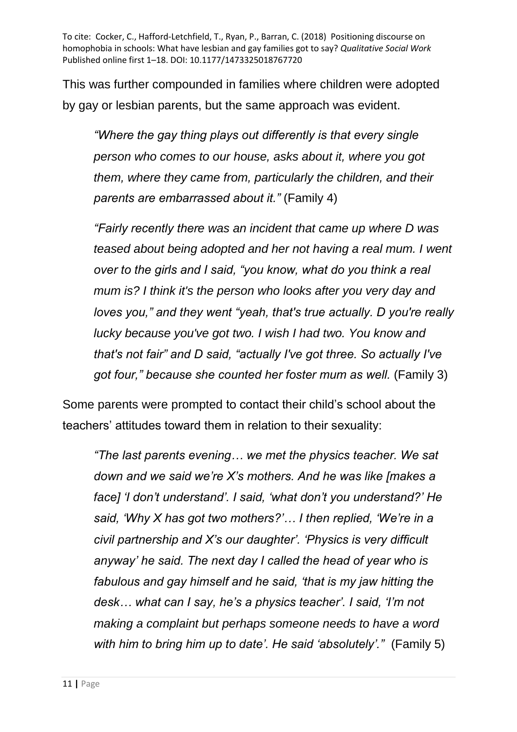This was further compounded in families where children were adopted by gay or lesbian parents, but the same approach was evident.

*"Where the gay thing plays out differently is that every single person who comes to our house, asks about it, where you got them, where they came from, particularly the children, and their parents are embarrassed about it."* (Family 4)

*"Fairly recently there was an incident that came up where D was teased about being adopted and her not having a real mum. I went over to the girls and I said, "you know, what do you think a real mum is? I think it's the person who looks after you very day and loves you," and they went "yeah, that's true actually. D you're really lucky because you've got two. I wish I had two. You know and that's not fair" and D said, "actually I've got three. So actually I've got four," because she counted her foster mum as well.* (Family 3)

Some parents were prompted to contact their child's school about the teachers' attitudes toward them in relation to their sexuality:

*"The last parents evening… we met the physics teacher. We sat down and we said we're X's mothers. And he was like [makes a face] 'I don't understand'. I said, 'what don't you understand?' He said, 'Why X has got two mothers?'… I then replied, 'We're in a civil partnership and X's our daughter'. 'Physics is very difficult anyway' he said. The next day I called the head of year who is fabulous and gay himself and he said, 'that is my jaw hitting the desk… what can I say, he's a physics teacher'. I said, 'I'm not making a complaint but perhaps someone needs to have a word with him to bring him up to date'. He said 'absolutely'."* (Family 5)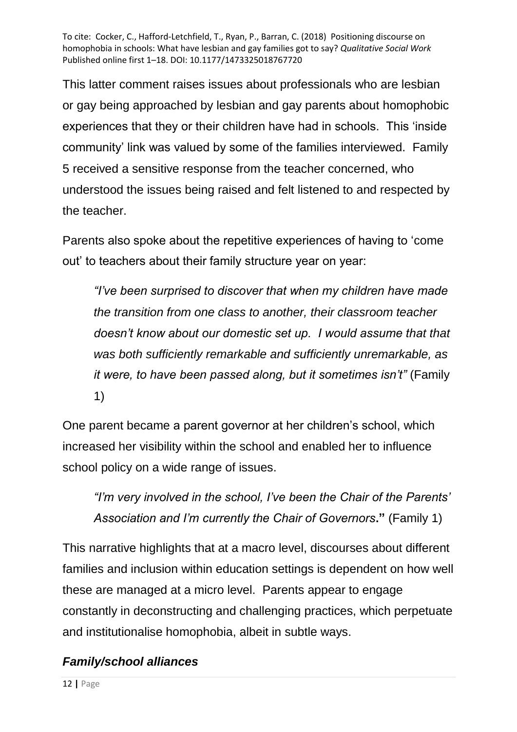This latter comment raises issues about professionals who are lesbian or gay being approached by lesbian and gay parents about homophobic experiences that they or their children have had in schools. This 'inside community' link was valued by some of the families interviewed. Family 5 received a sensitive response from the teacher concerned, who understood the issues being raised and felt listened to and respected by the teacher.

Parents also spoke about the repetitive experiences of having to 'come out' to teachers about their family structure year on year:

*"I've been surprised to discover that when my children have made the transition from one class to another, their classroom teacher doesn't know about our domestic set up. I would assume that that was both sufficiently remarkable and sufficiently unremarkable, as it were, to have been passed along, but it sometimes isn't"* (Family 1)

One parent became a parent governor at her children's school, which increased her visibility within the school and enabled her to influence school policy on a wide range of issues.

*"I'm very involved in the school, I've been the Chair of the Parents' Association and I'm currently the Chair of Governors***."** (Family 1)

This narrative highlights that at a macro level, discourses about different families and inclusion within education settings is dependent on how well these are managed at a micro level. Parents appear to engage constantly in deconstructing and challenging practices, which perpetuate and institutionalise homophobia, albeit in subtle ways.

# *Family/school alliances*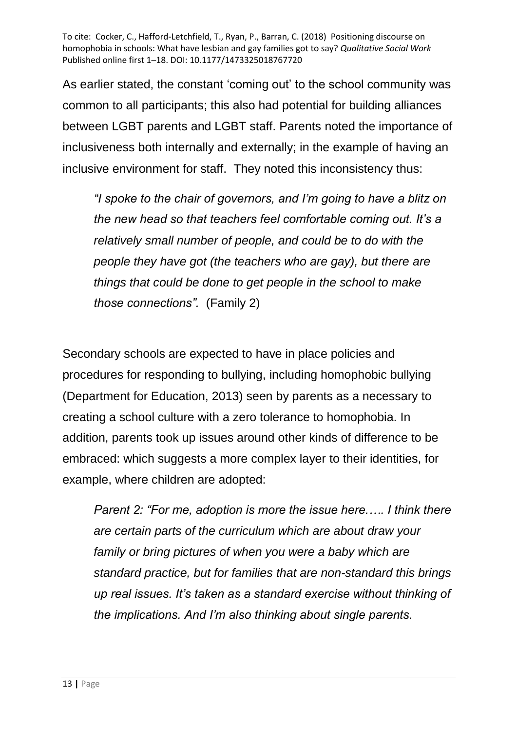As earlier stated, the constant 'coming out' to the school community was common to all participants; this also had potential for building alliances between LGBT parents and LGBT staff. Parents noted the importance of inclusiveness both internally and externally; in the example of having an inclusive environment for staff. They noted this inconsistency thus:

*"I spoke to the chair of governors, and I'm going to have a blitz on the new head so that teachers feel comfortable coming out. It's a relatively small number of people, and could be to do with the people they have got (the teachers who are gay), but there are things that could be done to get people in the school to make those connections".* (Family 2)

Secondary schools are expected to have in place policies and procedures for responding to bullying, including homophobic bullying (Department for Education, 2013) seen by parents as a necessary to creating a school culture with a zero tolerance to homophobia. In addition, parents took up issues around other kinds of difference to be embraced: which suggests a more complex layer to their identities, for example, where children are adopted:

*Parent 2: "For me, adoption is more the issue here.…. I think there are certain parts of the curriculum which are about draw your family or bring pictures of when you were a baby which are standard practice, but for families that are non-standard this brings up real issues. It's taken as a standard exercise without thinking of the implications. And I'm also thinking about single parents.*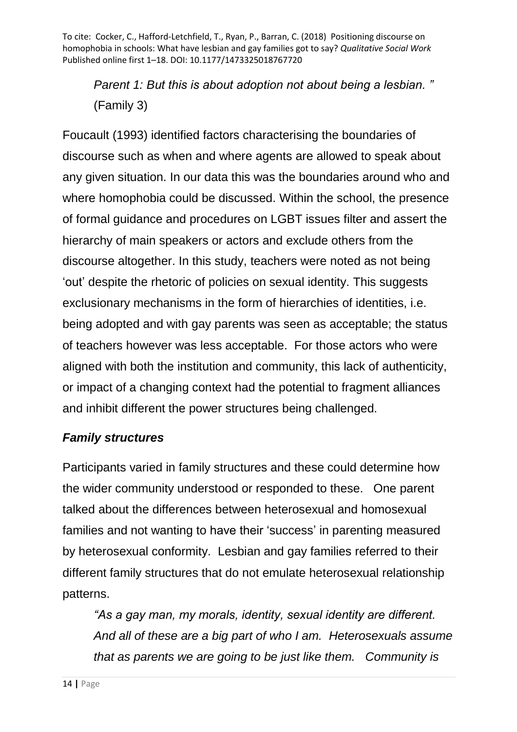*Parent 1: But this is about adoption not about being a lesbian. "* (Family 3)

Foucault (1993) identified factors characterising the boundaries of discourse such as when and where agents are allowed to speak about any given situation. In our data this was the boundaries around who and where homophobia could be discussed. Within the school, the presence of formal guidance and procedures on LGBT issues filter and assert the hierarchy of main speakers or actors and exclude others from the discourse altogether. In this study, teachers were noted as not being 'out' despite the rhetoric of policies on sexual identity. This suggests exclusionary mechanisms in the form of hierarchies of identities, i.e. being adopted and with gay parents was seen as acceptable; the status of teachers however was less acceptable. For those actors who were aligned with both the institution and community, this lack of authenticity, or impact of a changing context had the potential to fragment alliances and inhibit different the power structures being challenged.

## *Family structures*

Participants varied in family structures and these could determine how the wider community understood or responded to these. One parent talked about the differences between heterosexual and homosexual families and not wanting to have their 'success' in parenting measured by heterosexual conformity. Lesbian and gay families referred to their different family structures that do not emulate heterosexual relationship patterns.

*"As a gay man, my morals, identity, sexual identity are different. And all of these are a big part of who I am. Heterosexuals assume that as parents we are going to be just like them. Community is*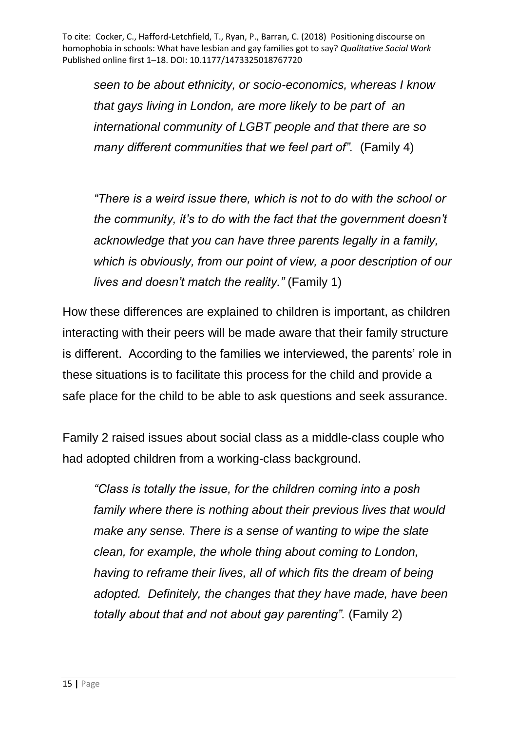*seen to be about ethnicity, or socio-economics, whereas I know that gays living in London, are more likely to be part of an international community of LGBT people and that there are so many different communities that we feel part of".* (Family 4)

*"There is a weird issue there, which is not to do with the school or the community, it's to do with the fact that the government doesn't acknowledge that you can have three parents legally in a family, which is obviously, from our point of view, a poor description of our lives and doesn't match the reality."* (Family 1)

How these differences are explained to children is important, as children interacting with their peers will be made aware that their family structure is different. According to the families we interviewed, the parents' role in these situations is to facilitate this process for the child and provide a safe place for the child to be able to ask questions and seek assurance.

Family 2 raised issues about social class as a middle-class couple who had adopted children from a working-class background.

*"Class is totally the issue, for the children coming into a posh family where there is nothing about their previous lives that would make any sense. There is a sense of wanting to wipe the slate clean, for example, the whole thing about coming to London, having to reframe their lives, all of which fits the dream of being adopted. Definitely, the changes that they have made, have been totally about that and not about gay parenting".* (Family 2)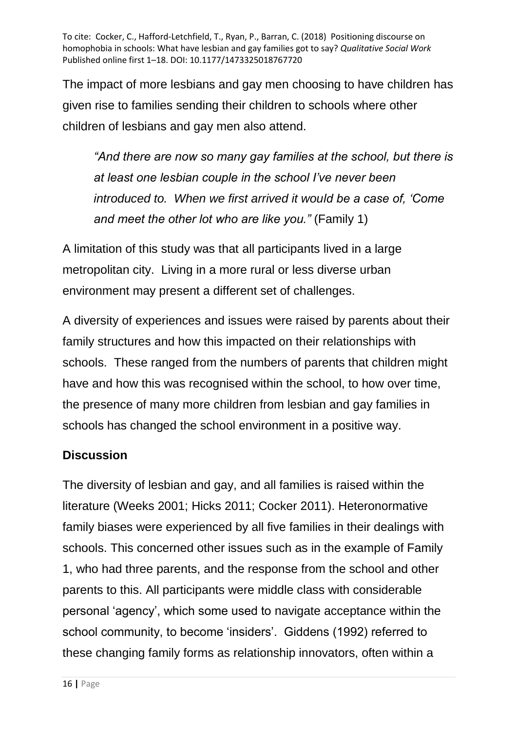The impact of more lesbians and gay men choosing to have children has given rise to families sending their children to schools where other children of lesbians and gay men also attend.

*"And there are now so many gay families at the school, but there is at least one lesbian couple in the school I've never been introduced to. When we first arrived it would be a case of, 'Come and meet the other lot who are like you."* (Family 1)

A limitation of this study was that all participants lived in a large metropolitan city. Living in a more rural or less diverse urban environment may present a different set of challenges.

A diversity of experiences and issues were raised by parents about their family structures and how this impacted on their relationships with schools. These ranged from the numbers of parents that children might have and how this was recognised within the school, to how over time, the presence of many more children from lesbian and gay families in schools has changed the school environment in a positive way.

# **Discussion**

The diversity of lesbian and gay, and all families is raised within the literature (Weeks 2001; Hicks 2011; Cocker 2011). Heteronormative family biases were experienced by all five families in their dealings with schools. This concerned other issues such as in the example of Family 1, who had three parents, and the response from the school and other parents to this. All participants were middle class with considerable personal 'agency', which some used to navigate acceptance within the school community, to become 'insiders'. Giddens (1992) referred to these changing family forms as relationship innovators, often within a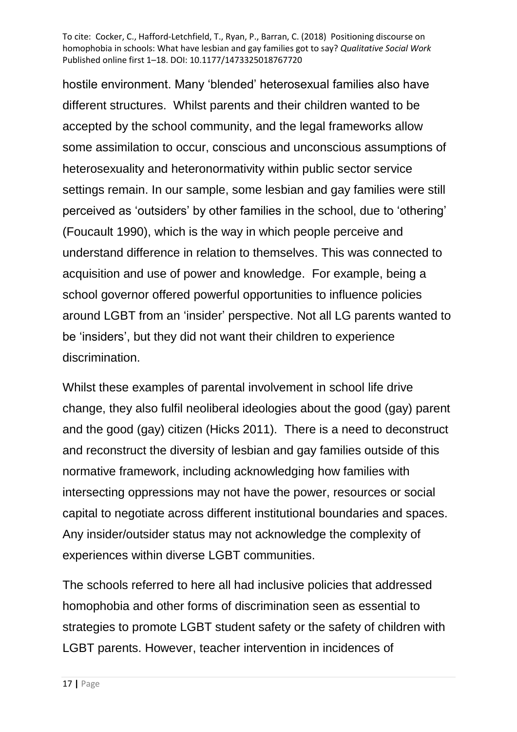hostile environment. Many 'blended' heterosexual families also have different structures. Whilst parents and their children wanted to be accepted by the school community, and the legal frameworks allow some assimilation to occur, conscious and unconscious assumptions of heterosexuality and heteronormativity within public sector service settings remain. In our sample, some lesbian and gay families were still perceived as 'outsiders' by other families in the school, due to 'othering' (Foucault 1990), which is the way in which people perceive and understand difference in relation to themselves. This was connected to acquisition and use of power and knowledge. For example, being a school governor offered powerful opportunities to influence policies around LGBT from an 'insider' perspective. Not all LG parents wanted to be 'insiders', but they did not want their children to experience discrimination.

Whilst these examples of parental involvement in school life drive change, they also fulfil neoliberal ideologies about the good (gay) parent and the good (gay) citizen (Hicks 2011). There is a need to deconstruct and reconstruct the diversity of lesbian and gay families outside of this normative framework, including acknowledging how families with intersecting oppressions may not have the power, resources or social capital to negotiate across different institutional boundaries and spaces. Any insider/outsider status may not acknowledge the complexity of experiences within diverse LGBT communities.

The schools referred to here all had inclusive policies that addressed homophobia and other forms of discrimination seen as essential to strategies to promote LGBT student safety or the safety of children with LGBT parents. However, teacher intervention in incidences of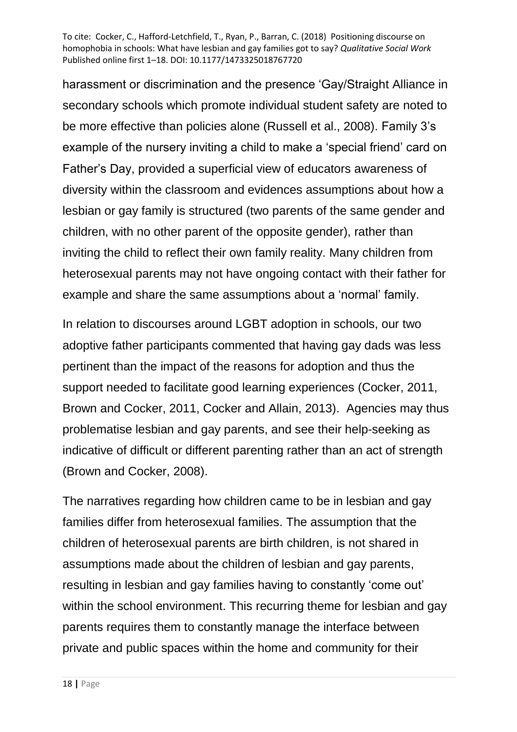harassment or discrimination and the presence 'Gay/Straight Alliance in secondary schools which promote individual student safety are noted to be more effective than policies alone (Russell et al., 2008). Family 3's example of the nursery inviting a child to make a 'special friend' card on Father's Day, provided a superficial view of educators awareness of diversity within the classroom and evidences assumptions about how a lesbian or gay family is structured (two parents of the same gender and children, with no other parent of the opposite gender), rather than inviting the child to reflect their own family reality. Many children from heterosexual parents may not have ongoing contact with their father for example and share the same assumptions about a 'normal' family.

In relation to discourses around LGBT adoption in schools, our two adoptive father participants commented that having gay dads was less pertinent than the impact of the reasons for adoption and thus the support needed to facilitate good learning experiences (Cocker, 2011, Brown and Cocker, 2011, Cocker and Allain, 2013). Agencies may thus problematise lesbian and gay parents, and see their help-seeking as indicative of difficult or different parenting rather than an act of strength (Brown and Cocker, 2008).

The narratives regarding how children came to be in lesbian and gay families differ from heterosexual families. The assumption that the children of heterosexual parents are birth children, is not shared in assumptions made about the children of lesbian and gay parents, resulting in lesbian and gay families having to constantly 'come out' within the school environment. This recurring theme for lesbian and gay parents requires them to constantly manage the interface between private and public spaces within the home and community for their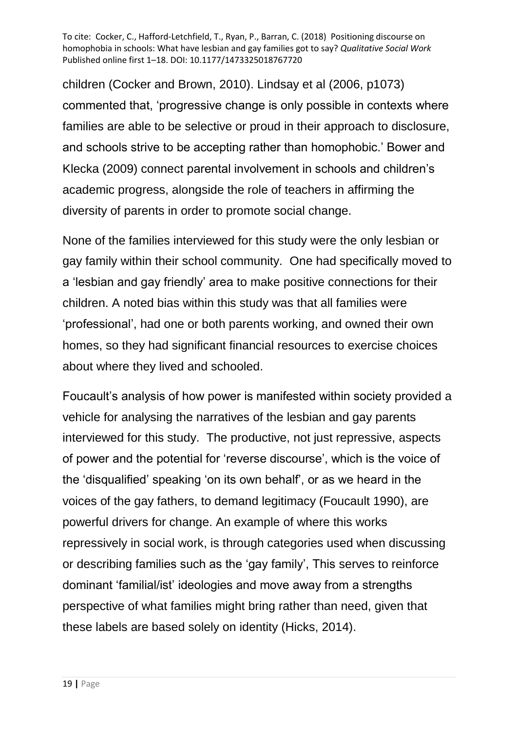children (Cocker and Brown, 2010). Lindsay et al (2006, p1073) commented that, 'progressive change is only possible in contexts where families are able to be selective or proud in their approach to disclosure, and schools strive to be accepting rather than homophobic.' Bower and Klecka (2009) connect parental involvement in schools and children's academic progress, alongside the role of teachers in affirming the diversity of parents in order to promote social change.

None of the families interviewed for this study were the only lesbian or gay family within their school community. One had specifically moved to a 'lesbian and gay friendly' area to make positive connections for their children. A noted bias within this study was that all families were 'professional', had one or both parents working, and owned their own homes, so they had significant financial resources to exercise choices about where they lived and schooled.

Foucault's analysis of how power is manifested within society provided a vehicle for analysing the narratives of the lesbian and gay parents interviewed for this study. The productive, not just repressive, aspects of power and the potential for 'reverse discourse', which is the voice of the 'disqualified' speaking 'on its own behalf', or as we heard in the voices of the gay fathers, to demand legitimacy (Foucault 1990), are powerful drivers for change. An example of where this works repressively in social work, is through categories used when discussing or describing families such as the 'gay family', This serves to reinforce dominant 'familial/ist' ideologies and move away from a strengths perspective of what families might bring rather than need, given that these labels are based solely on identity (Hicks, 2014).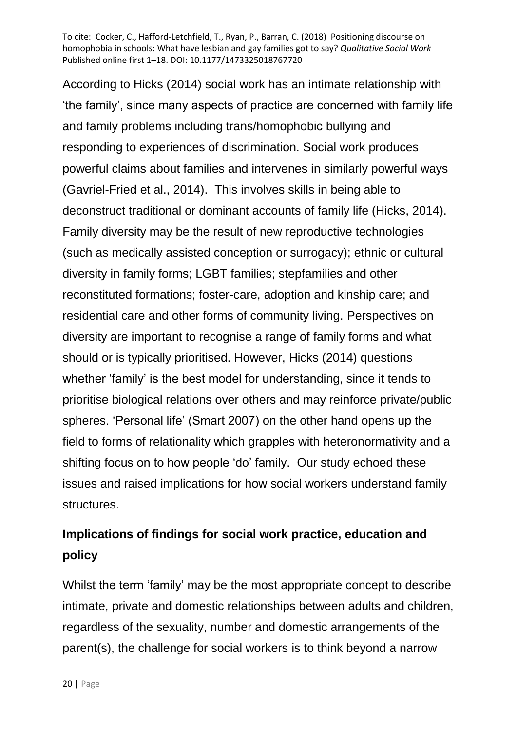According to Hicks (2014) social work has an intimate relationship with 'the family', since many aspects of practice are concerned with family life and family problems including trans/homophobic bullying and responding to experiences of discrimination. Social work produces powerful claims about families and intervenes in similarly powerful ways (Gavriel-Fried et al., 2014). This involves skills in being able to deconstruct traditional or dominant accounts of family life (Hicks, 2014). Family diversity may be the result of new reproductive technologies (such as medically assisted conception or surrogacy); ethnic or cultural diversity in family forms; LGBT families; stepfamilies and other reconstituted formations; foster-care, adoption and kinship care; and residential care and other forms of community living. Perspectives on diversity are important to recognise a range of family forms and what should or is typically prioritised. However, Hicks (2014) questions whether 'family' is the best model for understanding, since it tends to prioritise biological relations over others and may reinforce private/public spheres. 'Personal life' (Smart 2007) on the other hand opens up the field to forms of relationality which grapples with heteronormativity and a shifting focus on to how people 'do' family. Our study echoed these issues and raised implications for how social workers understand family structures.

# **Implications of findings for social work practice, education and policy**

Whilst the term 'family' may be the most appropriate concept to describe intimate, private and domestic relationships between adults and children, regardless of the sexuality, number and domestic arrangements of the parent(s), the challenge for social workers is to think beyond a narrow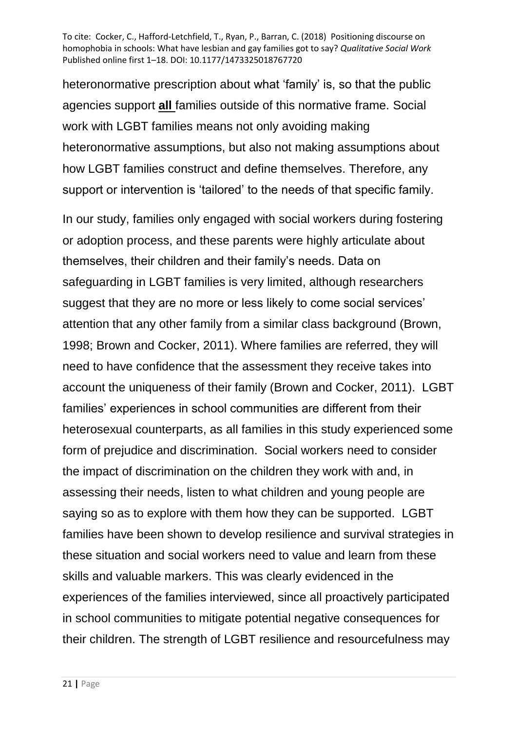heteronormative prescription about what 'family' is, so that the public agencies support **all** families outside of this normative frame. Social work with LGBT families means not only avoiding making heteronormative assumptions, but also not making assumptions about how LGBT families construct and define themselves. Therefore, any support or intervention is 'tailored' to the needs of that specific family.

In our study, families only engaged with social workers during fostering or adoption process, and these parents were highly articulate about themselves, their children and their family's needs. Data on safeguarding in LGBT families is very limited, although researchers suggest that they are no more or less likely to come social services' attention that any other family from a similar class background (Brown, 1998; Brown and Cocker, 2011). Where families are referred, they will need to have confidence that the assessment they receive takes into account the uniqueness of their family (Brown and Cocker, 2011). LGBT families' experiences in school communities are different from their heterosexual counterparts, as all families in this study experienced some form of prejudice and discrimination. Social workers need to consider the impact of discrimination on the children they work with and, in assessing their needs, listen to what children and young people are saying so as to explore with them how they can be supported. LGBT families have been shown to develop resilience and survival strategies in these situation and social workers need to value and learn from these skills and valuable markers. This was clearly evidenced in the experiences of the families interviewed, since all proactively participated in school communities to mitigate potential negative consequences for their children. The strength of LGBT resilience and resourcefulness may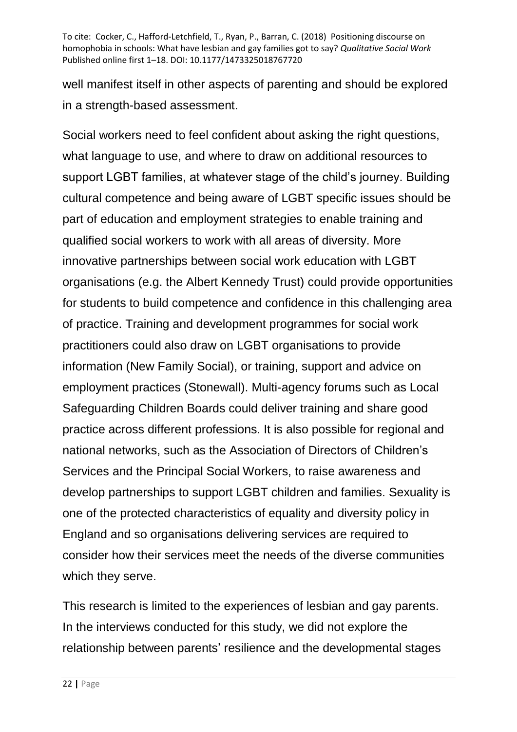well manifest itself in other aspects of parenting and should be explored in a strength-based assessment.

Social workers need to feel confident about asking the right questions, what language to use, and where to draw on additional resources to support LGBT families, at whatever stage of the child's journey. Building cultural competence and being aware of LGBT specific issues should be part of education and employment strategies to enable training and qualified social workers to work with all areas of diversity. More innovative partnerships between social work education with LGBT organisations (e.g. the Albert Kennedy Trust) could provide opportunities for students to build competence and confidence in this challenging area of practice. Training and development programmes for social work practitioners could also draw on LGBT organisations to provide information (New Family Social), or training, support and advice on employment practices (Stonewall). Multi-agency forums such as Local Safeguarding Children Boards could deliver training and share good practice across different professions. It is also possible for regional and national networks, such as the Association of Directors of Children's Services and the Principal Social Workers, to raise awareness and develop partnerships to support LGBT children and families. Sexuality is one of the protected characteristics of equality and diversity policy in England and so organisations delivering services are required to consider how their services meet the needs of the diverse communities which they serve.

This research is limited to the experiences of lesbian and gay parents. In the interviews conducted for this study, we did not explore the relationship between parents' resilience and the developmental stages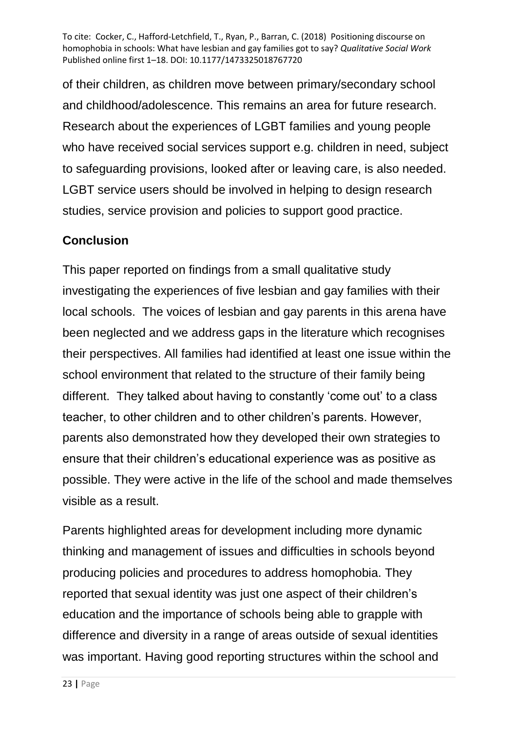of their children, as children move between primary/secondary school and childhood/adolescence. This remains an area for future research. Research about the experiences of LGBT families and young people who have received social services support e.g. children in need, subject to safeguarding provisions, looked after or leaving care, is also needed. LGBT service users should be involved in helping to design research studies, service provision and policies to support good practice.

# **Conclusion**

This paper reported on findings from a small qualitative study investigating the experiences of five lesbian and gay families with their local schools. The voices of lesbian and gay parents in this arena have been neglected and we address gaps in the literature which recognises their perspectives. All families had identified at least one issue within the school environment that related to the structure of their family being different. They talked about having to constantly 'come out' to a class teacher, to other children and to other children's parents. However, parents also demonstrated how they developed their own strategies to ensure that their children's educational experience was as positive as possible. They were active in the life of the school and made themselves visible as a result.

Parents highlighted areas for development including more dynamic thinking and management of issues and difficulties in schools beyond producing policies and procedures to address homophobia. They reported that sexual identity was just one aspect of their children's education and the importance of schools being able to grapple with difference and diversity in a range of areas outside of sexual identities was important. Having good reporting structures within the school and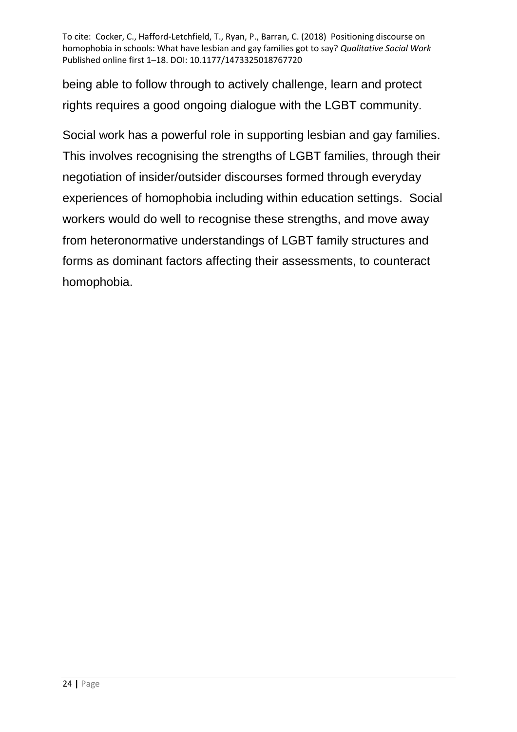being able to follow through to actively challenge, learn and protect rights requires a good ongoing dialogue with the LGBT community.

Social work has a powerful role in supporting lesbian and gay families. This involves recognising the strengths of LGBT families, through their negotiation of insider/outsider discourses formed through everyday experiences of homophobia including within education settings. Social workers would do well to recognise these strengths, and move away from heteronormative understandings of LGBT family structures and forms as dominant factors affecting their assessments, to counteract homophobia.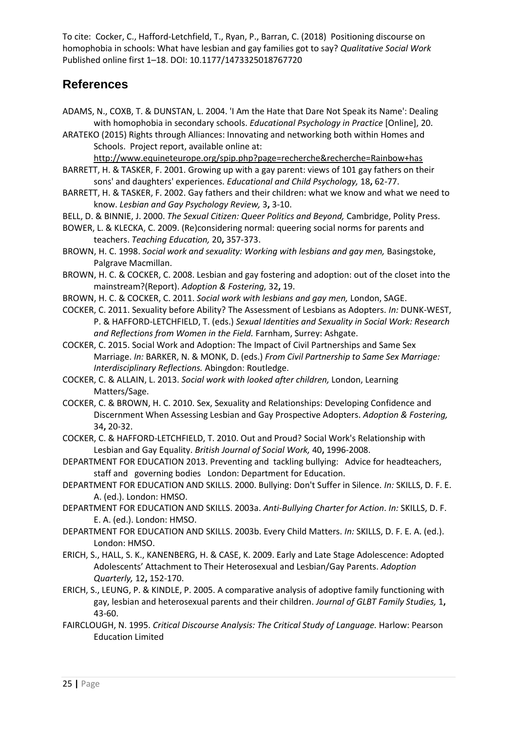#### **References**

- ADAMS, N., COXB, T. & DUNSTAN, L. 2004. 'I Am the Hate that Dare Not Speak its Name': Dealing with homophobia in secondary schools. *Educational Psychology in Practice* [Online], 20.
- ARATEKO (2015) Rights through Alliances: Innovating and networking both within Homes and Schools. Project report, available online at:

<http://www.equineteurope.org/spip.php?page=recherche&recherche=Rainbow+has>

- BARRETT, H. & TASKER, F. 2001. Growing up with a gay parent: views of 101 gay fathers on their sons' and daughters' experiences. *Educational and Child Psychology,* 18**,** 62-77.
- BARRETT, H. & TASKER, F. 2002. Gay fathers and their children: what we know and what we need to know. *Lesbian and Gay Psychology Review,* 3**,** 3-10.

BELL, D. & BINNIE, J. 2000. *The Sexual Citizen: Queer Politics and Beyond,* Cambridge, Polity Press.

- BOWER, L. & KLECKA, C. 2009. (Re)considering normal: queering social norms for parents and teachers. *Teaching Education,* 20**,** 357-373.
- BROWN, H. C. 1998. *Social work and sexuality: Working with lesbians and gay men, Basingstoke,* Palgrave Macmillan.
- BROWN, H. C. & COCKER, C. 2008. Lesbian and gay fostering and adoption: out of the closet into the mainstream?(Report). *Adoption & Fostering,* 32**,** 19.
- BROWN, H. C. & COCKER, C. 2011. *Social work with lesbians and gay men,* London, SAGE.
- COCKER, C. 2011. Sexuality before Ability? The Assessment of Lesbians as Adopters. *In:* DUNK-WEST, P. & HAFFORD-LETCHFIELD, T. (eds.) *Sexual Identities and Sexuality in Social Work: Research and Reflections from Women in the Field.* Farnham, Surrey: Ashgate.
- COCKER, C. 2015. Social Work and Adoption: The Impact of Civil Partnerships and Same Sex Marriage. *In:* BARKER, N. & MONK, D. (eds.) *From Civil Partnership to Same Sex Marriage: Interdisciplinary Reflections.* Abingdon: Routledge.
- COCKER, C. & ALLAIN, L. 2013. *Social work with looked after children,* London, Learning Matters/Sage.
- COCKER, C. & BROWN, H. C. 2010. Sex, Sexuality and Relationships: Developing Confidence and Discernment When Assessing Lesbian and Gay Prospective Adopters. *Adoption & Fostering,* 34**,** 20-32.
- COCKER, C. & HAFFORD-LETCHFIELD, T. 2010. Out and Proud? Social Work's Relationship with Lesbian and Gay Equality. *British Journal of Social Work,* 40**,** 1996-2008.
- DEPARTMENT FOR EDUCATION 2013. Preventing and tackling bullying: Advice for headteachers, staff and governing bodies London: Department for Education.
- DEPARTMENT FOR EDUCATION AND SKILLS. 2000. Bullying: Don't Suffer in Silence. *In:* SKILLS, D. F. E. A. (ed.). London: HMSO.
- DEPARTMENT FOR EDUCATION AND SKILLS. 2003a. *Anti-Bullying Charter for Action*. *In:* SKILLS, D. F. E. A. (ed.). London: HMSO.
- DEPARTMENT FOR EDUCATION AND SKILLS. 2003b. Every Child Matters. *In:* SKILLS, D. F. E. A. (ed.). London: HMSO.
- ERICH, S., HALL, S. K., KANENBERG, H. & CASE, K. 2009. Early and Late Stage Adolescence: Adopted Adolescents' Attachment to Their Heterosexual and Lesbian/Gay Parents. *Adoption Quarterly,* 12**,** 152-170.
- ERICH, S., LEUNG, P. & KINDLE, P. 2005. A comparative analysis of adoptive family functioning with gay, lesbian and heterosexual parents and their children. *Journal of GLBT Family Studies,* 1**,** 43-60.
- FAIRCLOUGH, N. 1995. *Critical Discourse Analysis: The Critical Study of Language.* Harlow: Pearson Education Limited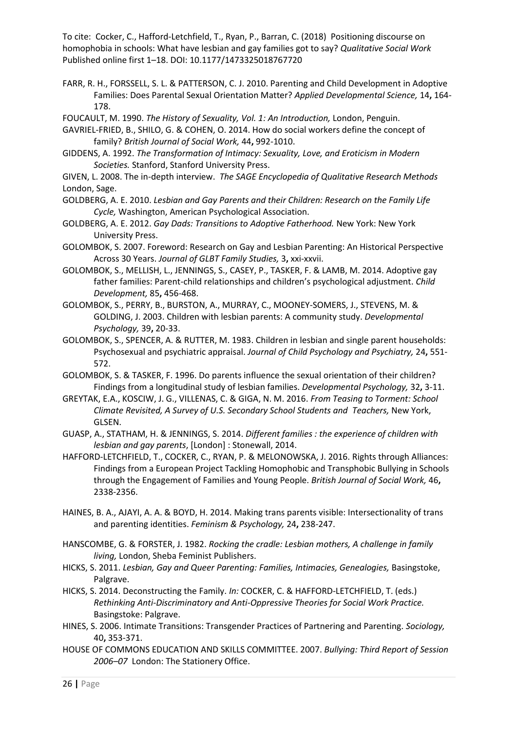FARR, R. H., FORSSELL, S. L. & PATTERSON, C. J. 2010. Parenting and Child Development in Adoptive Families: Does Parental Sexual Orientation Matter? *Applied Developmental Science,* 14**,** 164- 178.

FOUCAULT, M. 1990. *The History of Sexuality, Vol. 1: An Introduction,* London, Penguin.

GAVRIEL-FRIED, B., SHILO, G. & COHEN, O. 2014. How do social workers define the concept of family? *British Journal of Social Work,* 44**,** 992-1010.

GIDDENS, A. 1992. *The Transformation of Intimacy: Sexuality, Love, and Eroticism in Modern Societies.* Stanford, Stanford University Press.

GIVEN, L. 2008. The in-depth interview. *The SAGE Encyclopedia of Qualitative Research Methods* London, Sage.

- GOLDBERG, A. E. 2010. *Lesbian and Gay Parents and their Children: Research on the Family Life Cycle,* Washington, American Psychological Association.
- GOLDBERG, A. E. 2012. *Gay Dads: Transitions to Adoptive Fatherhood.* New York: New York University Press.
- GOLOMBOK, S. 2007. Foreword: Research on Gay and Lesbian Parenting: An Historical Perspective Across 30 Years. *Journal of GLBT Family Studies,* 3**,** xxi-xxvii.
- GOLOMBOK, S., MELLISH, L., JENNINGS, S., CASEY, P., TASKER, F. & LAMB, M. 2014. Adoptive gay father families: Parent-child relationships and children's psychological adjustment. *Child Development,* 85**,** 456-468.
- GOLOMBOK, S., PERRY, B., BURSTON, A., MURRAY, C., MOONEY-SOMERS, J., STEVENS, M. & GOLDING, J. 2003. Children with lesbian parents: A community study. *Developmental Psychology,* 39**,** 20-33.
- GOLOMBOK, S., SPENCER, A. & RUTTER, M. 1983. Children in lesbian and single parent households: Psychosexual and psychiatric appraisal. *Journal of Child Psychology and Psychiatry,* 24**,** 551- 572.
- GOLOMBOK, S. & TASKER, F. 1996. Do parents influence the sexual orientation of their children? Findings from a longitudinal study of lesbian families. *Developmental Psychology,* 32**,** 3-11.
- GREYTAK, E.A., KOSCIW, J. G., VILLENAS, C. & GIGA, N. M. 2016. *From Teasing to Torment: School Climate Revisited, A Survey of U.S. Secondary School Students and Teachers,* New York, GLSEN.
- GUASP, A., STATHAM, H. & JENNINGS, S. 2014. *Different families : the experience of children with lesbian and gay parents*, [London] : Stonewall, 2014.
- HAFFORD-LETCHFIELD, T., COCKER, C., RYAN, P. & MELONOWSKA, J. 2016. Rights through Alliances: Findings from a European Project Tackling Homophobic and Transphobic Bullying in Schools through the Engagement of Families and Young People. *British Journal of Social Work,* 46**,** 2338-2356.
- HAINES, B. A., AJAYI, A. A. & BOYD, H. 2014. Making trans parents visible: Intersectionality of trans and parenting identities. *Feminism & Psychology,* 24**,** 238-247.
- HANSCOMBE, G. & FORSTER, J. 1982. *Rocking the cradle: Lesbian mothers, A challenge in family living,* London, Sheba Feminist Publishers.
- HICKS, S. 2011. *Lesbian, Gay and Queer Parenting: Families, Intimacies, Genealogies,* Basingstoke, Palgrave.
- HICKS, S. 2014. Deconstructing the Family. *In:* COCKER, C. & HAFFORD-LETCHFIELD, T. (eds.) *Rethinking Anti-Discriminatory and Anti-Oppressive Theories for Social Work Practice.* Basingstoke: Palgrave.
- HINES, S. 2006. Intimate Transitions: Transgender Practices of Partnering and Parenting. *Sociology,* 40**,** 353-371.
- HOUSE OF COMMONS EDUCATION AND SKILLS COMMITTEE. 2007. *Bullying: Third Report of Session 2006–07* London: The Stationery Office.